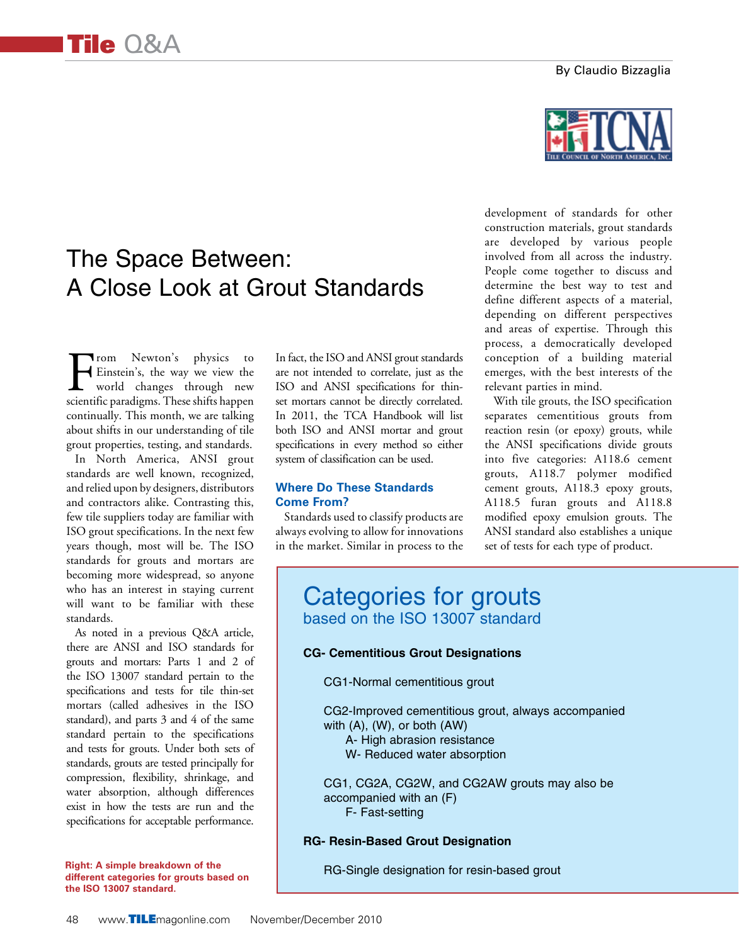#### By Claudio Bizzaglia

# The Space Between: A Close Look at Grout Standards

From Newton's physics to<br>Einstein's, the way we view the<br>world changes through new<br>scientific paradioms These shifts happen Einstein's, the way we view the world changes through new scientific paradigms. These shifts happen continually. This month, we are talking about shifts in our understanding of tile grout properties, testing, and standards.

In North America, ANSI grout standards are well known, recognized, and relied upon by designers, distributors and contractors alike. Contrasting this, few tile suppliers today are familiar with ISO grout specifications. In the next few years though, most will be. The ISO standards for grouts and mortars are becoming more widespread, so anyone who has an interest in staying current will want to be familiar with these standards.

As noted in a previous Q&A article, there are ANSI and ISO standards for grouts and mortars: Parts 1 and 2 of the ISO 13007 standard pertain to the specifications and tests for tile thin-set mortars (called adhesives in the ISO standard), and parts 3 and 4 of the same standard pertain to the specifications and tests for grouts. Under both sets of standards, grouts are tested principally for compression, flexibility, shrinkage, and water absorption, although differences exist in how the tests are run and the specifications for acceptable performance.

**Right: A simple breakdown of the different categories for grouts based on the ISO 13007 standard.**

In fact, the ISO and ANSI grout standards are not intended to correlate, just as the ISO and ANSI specifications for thinset mortars cannot be directly correlated. In 2011, the TCA Handbook will list both ISO and ANSI mortar and grout specifications in every method so either system of classification can be used.

#### **Where Do These Standards Come From?**

Standards used to classify products are always evolving to allow for innovations in the market. Similar in process to the development of standards for other construction materials, grout standards are developed by various people involved from all across the industry. People come together to discuss and determine the best way to test and define different aspects of a material, depending on different perspectives and areas of expertise. Through this process, a democratically developed conception of a building material emerges, with the best interests of the relevant parties in mind.

With tile grouts, the ISO specification separates cementitious grouts from reaction resin (or epoxy) grouts, while the ANSI specifications divide grouts into five categories: A118.6 cement grouts, A118.7 polymer modified cement grouts, A118.3 epoxy grouts, A118.5 furan grouts and A118.8 modified epoxy emulsion grouts. The ANSI standard also establishes a unique set of tests for each type of product.

# Categories for grouts based on the ISO 13007 standard

#### **CG- Cementitious Grout Designations**

CG1-Normal cementitious grout

CG2-Improved cementitious grout, always accompanied with (A), (W), or both (AW) A- High abrasion resistance W- Reduced water absorption

CG1, CG2A, CG2W, and CG2AW grouts may also be accompanied with an (F) F- Fast-setting

## **RG- Resin-Based Grout Designation**

RG-Single designation for resin-based grout

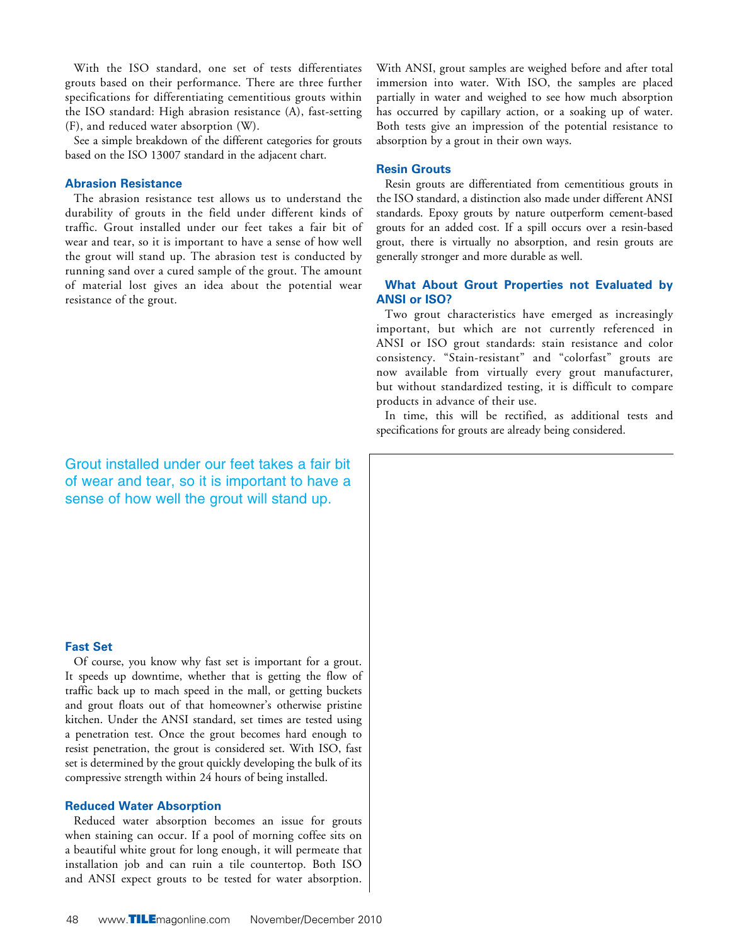With the ISO standard, one set of tests differentiates grouts based on their performance. There are three further specifications for differentiating cementitious grouts within the ISO standard: High abrasion resistance (A), fast-setting (F), and reduced water absorption (W).

See a simple breakdown of the different categories for grouts based on the ISO 13007 standard in the adjacent chart.

#### **Abrasion Resistance**

The abrasion resistance test allows us to understand the durability of grouts in the field under different kinds of traffic. Grout installed under our feet takes a fair bit of wear and tear, so it is important to have a sense of how well the grout will stand up. The abrasion test is conducted by running sand over a cured sample of the grout. The amount of material lost gives an idea about the potential wear resistance of the grout.

Grout installed under our feet takes a fair bit of wear and tear, so it is important to have a sense of how well the grout will stand up.

#### **Fast Set**

Of course, you know why fast set is important for a grout. It speeds up downtime, whether that is getting the flow of traffic back up to mach speed in the mall, or getting buckets and grout floats out of that homeowner's otherwise pristine kitchen. Under the ANSI standard, set times are tested using a penetration test. Once the grout becomes hard enough to resist penetration, the grout is considered set. With ISO, fast set is determined by the grout quickly developing the bulk of its compressive strength within 24 hours of being installed.

#### **Reduced Water Absorption**

Reduced water absorption becomes an issue for grouts when staining can occur. If a pool of morning coffee sits on a beautiful white grout for long enough, it will permeate that installation job and can ruin a tile countertop. Both ISO and ANSI expect grouts to be tested for water absorption.

With ANSI, grout samples are weighed before and after total immersion into water. With ISO, the samples are placed partially in water and weighed to see how much absorption has occurred by capillary action, or a soaking up of water. Both tests give an impression of the potential resistance to absorption by a grout in their own ways.

#### **Resin Grouts**

Resin grouts are differentiated from cementitious grouts in the ISO standard, a distinction also made under different ANSI standards. Epoxy grouts by nature outperform cement-based grouts for an added cost. If a spill occurs over a resin-based grout, there is virtually no absorption, and resin grouts are generally stronger and more durable as well.

#### **What About Grout Properties not Evaluated by ANSI or ISO?**

Two grout characteristics have emerged as increasingly important, but which are not currently referenced in ANSI or ISO grout standards: stain resistance and color consistency. "Stain-resistant" and "colorfast" grouts are now available from virtually every grout manufacturer, but without standardized testing, it is difficult to compare products in advance of their use.

In time, this will be rectified, as additional tests and specifications for grouts are already being considered.